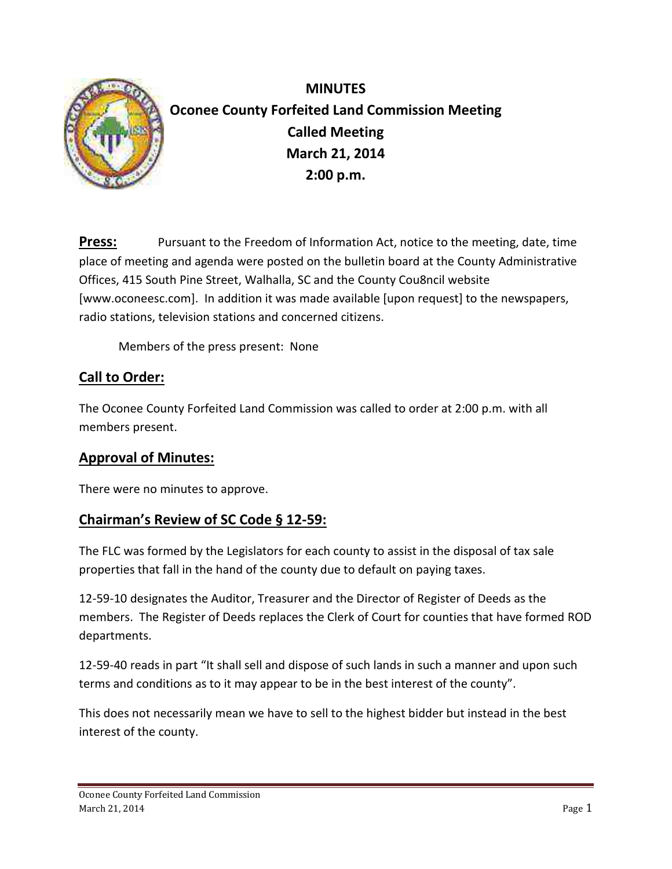

**MINUTES Oconee County Forfeited Land Commission Meeting Called Meeting March 21, 2014 2:00 p.m.**

**Press:** Pursuant to the Freedom of Information Act, notice to the meeting, date, time place of meeting and agenda were posted on the bulletin board at the County Administrative Offices, 415 South Pine Street, Walhalla, SC and the County Cou8ncil website [www.oconeesc.com]. In addition it was made available [upon request] to the newspapers, radio stations, television stations and concerned citizens.

Members of the press present: None

## **Call to Order:**

The Oconee County Forfeited Land Commission was called to order at 2:00 p.m. with all members present.

### **Approval of Minutes:**

There were no minutes to approve.

### **Chairman's Review of SC Code § 12-59:**

The FLC was formed by the Legislators for each county to assist in the disposal of tax sale properties that fall in the hand of the county due to default on paying taxes.

12-59-10 designates the Auditor, Treasurer and the Director of Register of Deeds as the members. The Register of Deeds replaces the Clerk of Court for counties that have formed ROD departments.

12-59-40 reads in part "It shall sell and dispose of such lands in such a manner and upon such terms and conditions as to it may appear to be in the best interest of the county".

This does not necessarily mean we have to sell to the highest bidder but instead in the best interest of the county.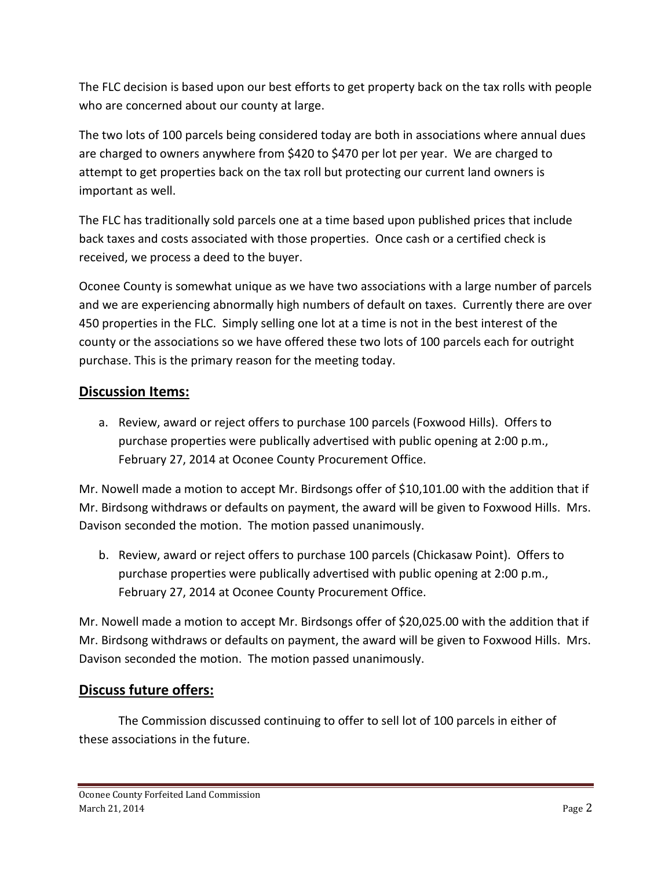The FLC decision is based upon our best efforts to get property back on the tax rolls with people who are concerned about our county at large.

The two lots of 100 parcels being considered today are both in associations where annual dues are charged to owners anywhere from \$420 to \$470 per lot per year. We are charged to attempt to get properties back on the tax roll but protecting our current land owners is important as well.

The FLC has traditionally sold parcels one at a time based upon published prices that include back taxes and costs associated with those properties. Once cash or a certified check is received, we process a deed to the buyer.

Oconee County is somewhat unique as we have two associations with a large number of parcels and we are experiencing abnormally high numbers of default on taxes. Currently there are over 450 properties in the FLC. Simply selling one lot at a time is not in the best interest of the county or the associations so we have offered these two lots of 100 parcels each for outright purchase. This is the primary reason for the meeting today.

### **Discussion Items:**

a. Review, award or reject offers to purchase 100 parcels (Foxwood Hills). Offers to purchase properties were publically advertised with public opening at 2:00 p.m., February 27, 2014 at Oconee County Procurement Office.

Mr. Nowell made a motion to accept Mr. Birdsongs offer of \$10,101.00 with the addition that if Mr. Birdsong withdraws or defaults on payment, the award will be given to Foxwood Hills. Mrs. Davison seconded the motion. The motion passed unanimously.

b. Review, award or reject offers to purchase 100 parcels (Chickasaw Point). Offers to purchase properties were publically advertised with public opening at 2:00 p.m., February 27, 2014 at Oconee County Procurement Office.

Mr. Nowell made a motion to accept Mr. Birdsongs offer of \$20,025.00 with the addition that if Mr. Birdsong withdraws or defaults on payment, the award will be given to Foxwood Hills. Mrs. Davison seconded the motion. The motion passed unanimously.

### **Discuss future offers:**

The Commission discussed continuing to offer to sell lot of 100 parcels in either of these associations in the future.